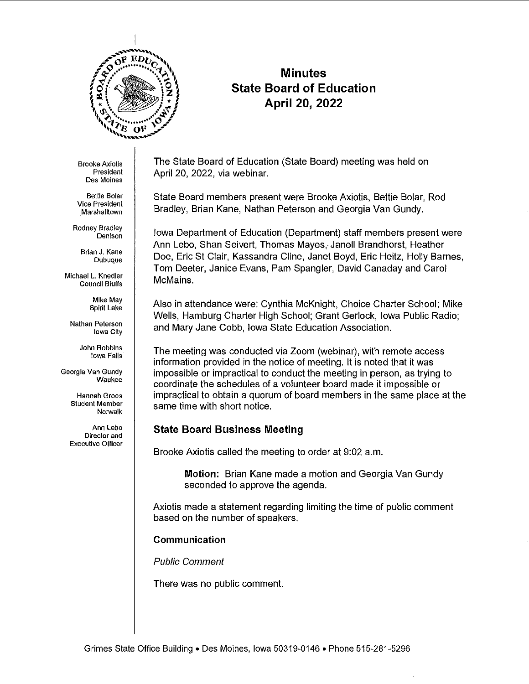

# **Minutes State Board of Education April 20, 2022**

Brooke Axlotls **President Des Moines** 

**Bettie Bolar Vice President**  . Marshalltown

Rodney Bradley **Denison** 

> **Brian J. Kane Dubuque**

**Michael L. Knedler Council Bluffs** 

> Mike May Spirit Lake

**Nathan Peterson**  Iowa City

> **John Robbins**  Iowa Falls

**Georgia Van Gundy Waukee** 

> **Hannah Groos**  Student Member Norwalk

Ann Lebo **Director and Executive Officer**  The State Board of Education (State Board) meeting was held on April 20, 2022, via webinar.

State Board members present were Brooke Axiotis, Bettie Bolar, Rod Bradley, Brian Kane, Nathan Peterson and Georgia Van Gundy .

Iowa Department of Education (Department) staff members present were Ann Lebo, Shan Seivert, Thomas Mayes, Janell Brandhorst, Heather Doe, Eric St Clair, Kassandra Cline, Janet Boyd, Eric Heitz, Holly Barnes, Tom Deeter, Janice Evans, Pam Spangler, David Canaday and Carol McMains.

Also in attendance were: Cynthia McKnight, Choice Charter School; Mike Wells, Hamburg Charter High School; Grant Gerlock, Iowa Public Radio; and Mary Jane Cobb, Iowa State Education Association.

The meeting was conducted via Zoom (webinar), with remote access information provided in the notice of meeting. It is noted that it was impossible or impractical to conduct the meeting in person, as trying to coordinate the schedules of a volunteer board made it impossible or impractical to obtain a quorum of board members in the same place at the same time with short notice.

## **State Board Business Meeting**

Brooke Axiotis called the meeting to order at 9:02 a.m.

**Motion:** Brian Kane made a motion and Georgia Van Gundy seconded to approve the agenda.

Axiotis made a statement regarding limiting the time of public comment based on the number of speakers.

## **Communication**

Public Comment

There was no public comment.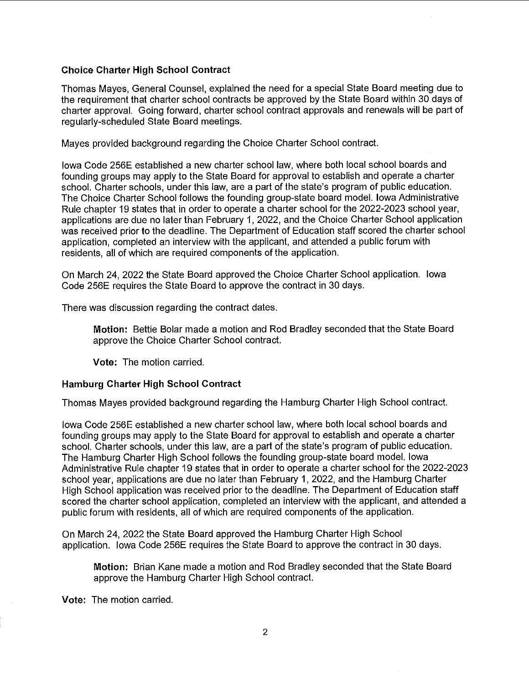### **Choice Charter High School Contract**

Thomas Mayes, General Counsel, explained the need for a special State Board meeting due to the requirement that charter school contracts be approved by the State Board within 30 days of charter approval. Going forward, charter school contract approvals and renewals will be part of regularly-scheduled State Board meetings.

Mayes provided background regarding the Choice Charter School contract.

Iowa Code 256E established a new charter school law, where both local school boards and founding groups may apply to the State Board for approval to establish and operate a charter school. Charter schools, under this law, are a part of the state's program of public education. The Choice Charter School follows the founding group-state board model. Iowa Administrative Rule chapter 19 states that in order to operate a charter school for the 2022-2023 school year, applications are due no later than February 1, 2022, and the Choice Charter School application was received prior to the deadline. The Department of Education staff scored the charter school application, completed an interview with the applicant, and attended a public forum with residents, all of which are required components of the application.

On March 24, 2022 the State Board approved the Choice Charter School application. Iowa Code 256E requires the State Board to approve the contract in 30 days.

There was discussion regarding the contract dates.

**Motion:** Bettie Bolar made a motion and Rod Bradley seconded that the State Board approve the Choice Charter School contract.

**Vote:** The motion carried.

#### **Hamburg Charter High School Contract**

Thomas Mayes provided background regarding the Hamburg Charter High School contract.

Iowa Code 256E established a new charter school law, where both local school boards and founding groups may apply to the State Board for approval to establish and operate a charter school. Charter schools, under this law, are a part of the state's program of public education. The Hamburg Charter High School follows the founding group-state board model. Iowa Administrative Rule chapter 19 states that in order to operate a charter school for the 2022-2023 school year, applications are due no later than February 1, 2022, and the Hamburg Charter High School application was received prior to the deadline. The Department of Education staff scored the charter school application, completed an interview with the applicant, and attended a public forum with residents, all of which are required components of the application.

On March 24, 2022 the State Board approved the Hamburg Charter High School application. Iowa Code 256E requires the State Board to approve the contract in 30 days.

**Motion:** Brian Kane made a motion and Rod Bradley seconded that the State Board approve the Hamburg Charter High School contract.

**Vote:** The motion carried.